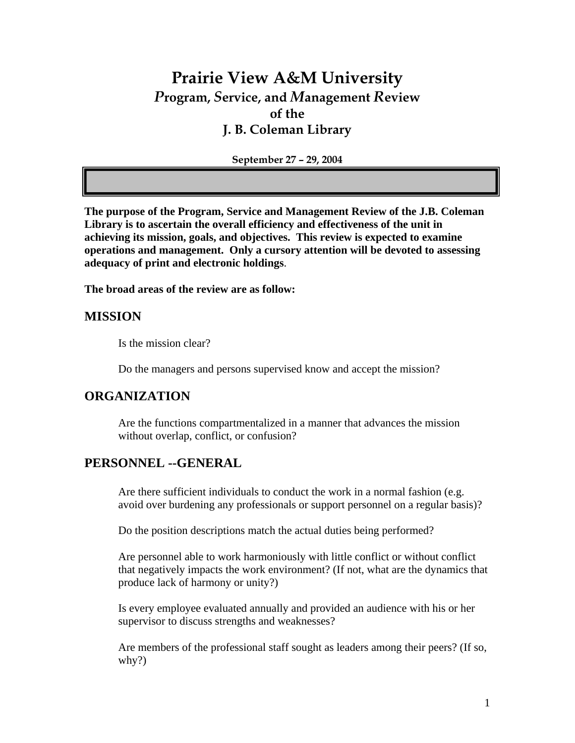# **Prairie View A&M University**  *P***rogram,** *S***ervice, and** *M***anagement** *R***eview of the J. B. Coleman Library**

**September 27 – 29, 2004** 

**The purpose of the Program, Service and Management Review of the J.B. Coleman Library is to ascertain the overall efficiency and effectiveness of the unit in achieving its mission, goals, and objectives. This review is expected to examine operations and management. Only a cursory attention will be devoted to assessing adequacy of print and electronic holdings**.

**The broad areas of the review are as follow:** 

## **MISSION**

Is the mission clear?

Do the managers and persons supervised know and accept the mission?

### **ORGANIZATION**

Are the functions compartmentalized in a manner that advances the mission without overlap, conflict, or confusion?

# **PERSONNEL --GENERAL**

Are there sufficient individuals to conduct the work in a normal fashion (e.g. avoid over burdening any professionals or support personnel on a regular basis)?

Do the position descriptions match the actual duties being performed?

Are personnel able to work harmoniously with little conflict or without conflict that negatively impacts the work environment? (If not, what are the dynamics that produce lack of harmony or unity?)

Is every employee evaluated annually and provided an audience with his or her supervisor to discuss strengths and weaknesses?

Are members of the professional staff sought as leaders among their peers? (If so, why?)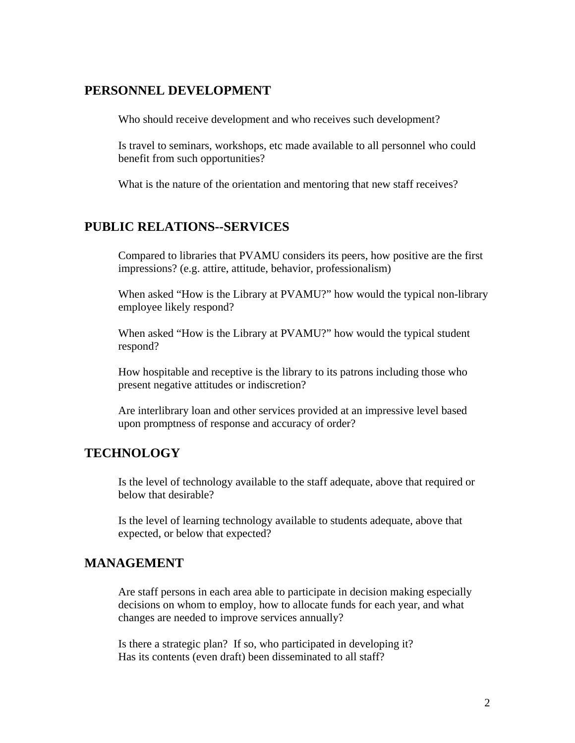### **PERSONNEL DEVELOPMENT**

Who should receive development and who receives such development?

Is travel to seminars, workshops, etc made available to all personnel who could benefit from such opportunities?

What is the nature of the orientation and mentoring that new staff receives?

# **PUBLIC RELATIONS--SERVICES**

Compared to libraries that PVAMU considers its peers, how positive are the first impressions? (e.g. attire, attitude, behavior, professionalism)

When asked "How is the Library at PVAMU?" how would the typical non-library employee likely respond?

When asked "How is the Library at PVAMU?" how would the typical student respond?

How hospitable and receptive is the library to its patrons including those who present negative attitudes or indiscretion?

Are interlibrary loan and other services provided at an impressive level based upon promptness of response and accuracy of order?

# **TECHNOLOGY**

Is the level of technology available to the staff adequate, above that required or below that desirable?

Is the level of learning technology available to students adequate, above that expected, or below that expected?

### **MANAGEMENT**

Are staff persons in each area able to participate in decision making especially decisions on whom to employ, how to allocate funds for each year, and what changes are needed to improve services annually?

Is there a strategic plan? If so, who participated in developing it? Has its contents (even draft) been disseminated to all staff?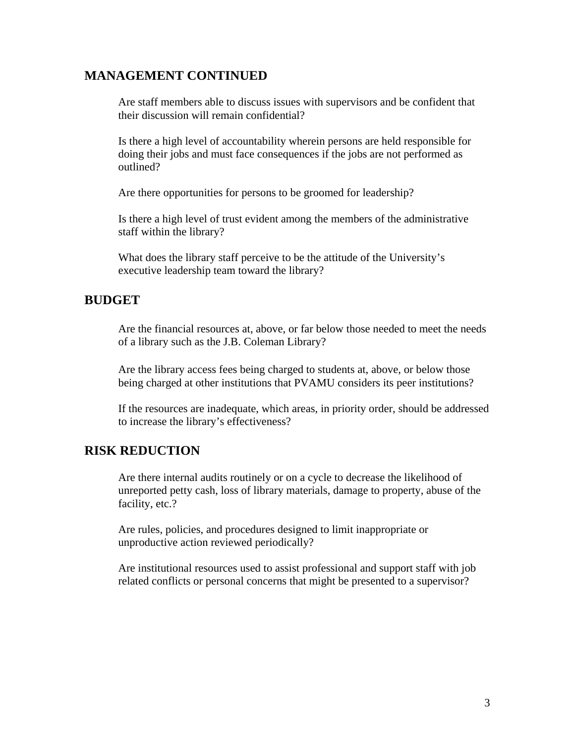## **MANAGEMENT CONTINUED**

Are staff members able to discuss issues with supervisors and be confident that their discussion will remain confidential?

Is there a high level of accountability wherein persons are held responsible for doing their jobs and must face consequences if the jobs are not performed as outlined?

Are there opportunities for persons to be groomed for leadership?

Is there a high level of trust evident among the members of the administrative staff within the library?

What does the library staff perceive to be the attitude of the University's executive leadership team toward the library?

### **BUDGET**

Are the financial resources at, above, or far below those needed to meet the needs of a library such as the J.B. Coleman Library?

Are the library access fees being charged to students at, above, or below those being charged at other institutions that PVAMU considers its peer institutions?

If the resources are inadequate, which areas, in priority order, should be addressed to increase the library's effectiveness?

## **RISK REDUCTION**

Are there internal audits routinely or on a cycle to decrease the likelihood of unreported petty cash, loss of library materials, damage to property, abuse of the facility, etc.?

Are rules, policies, and procedures designed to limit inappropriate or unproductive action reviewed periodically?

Are institutional resources used to assist professional and support staff with job related conflicts or personal concerns that might be presented to a supervisor?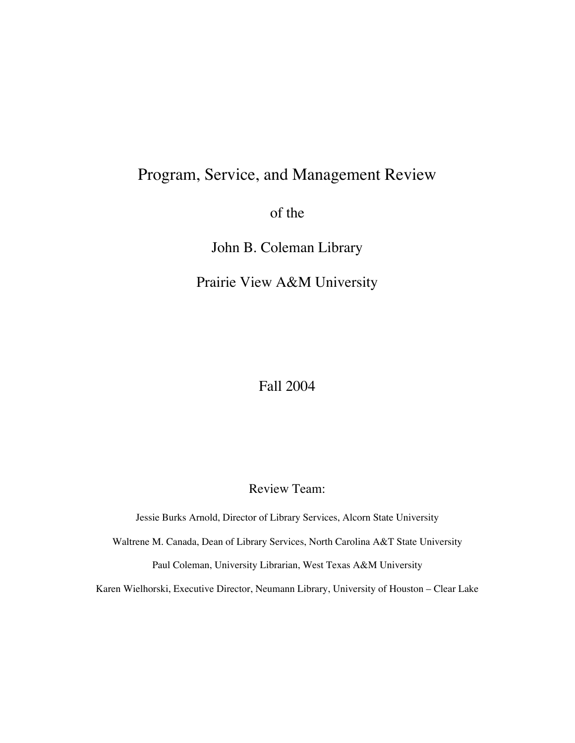# Program, Service, and Management Review

of the

John B. Coleman Library

Prairie View A&M University

Fall 2004

Review Team:

Jessie Burks Arnold, Director of Library Services, Alcorn State University

Waltrene M. Canada, Dean of Library Services, North Carolina A&T State University

Paul Coleman, University Librarian, West Texas A&M University

Karen Wielhorski, Executive Director, Neumann Library, University of Houston – Clear Lake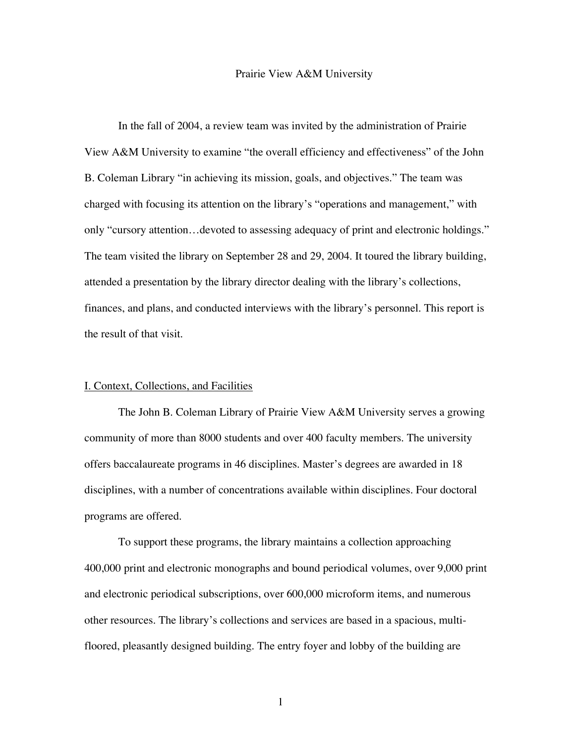#### Prairie View A&M University

In the fall of 2004, a review team was invited by the administration of Prairie View A&M University to examine "the overall efficiency and effectiveness" of the John B. Coleman Library "in achieving its mission, goals, and objectives." The team was charged with focusing its attention on the library's "operations and management," with only "cursory attention…devoted to assessing adequacy of print and electronic holdings." The team visited the library on September 28 and 29, 2004. It toured the library building, attended a presentation by the library director dealing with the library's collections, finances, and plans, and conducted interviews with the library's personnel. This report is the result of that visit.

#### I. Context, Collections, and Facilities

The John B. Coleman Library of Prairie View A&M University serves a growing community of more than 8000 students and over 400 faculty members. The university offers baccalaureate programs in 46 disciplines. Master's degrees are awarded in 18 disciplines, with a number of concentrations available within disciplines. Four doctoral programs are offered.

To support these programs, the library maintains a collection approaching 400,000 print and electronic monographs and bound periodical volumes, over 9,000 print and electronic periodical subscriptions, over 600,000 microform items, and numerous other resources. The library's collections and services are based in a spacious, multifloored, pleasantly designed building. The entry foyer and lobby of the building are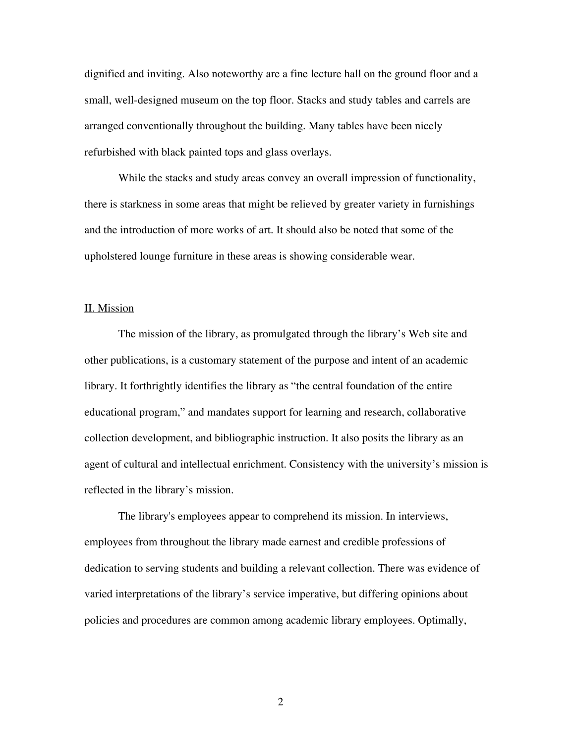dignified and inviting. Also noteworthy are a fine lecture hall on the ground floor and a small, well-designed museum on the top floor. Stacks and study tables and carrels are arranged conventionally throughout the building. Many tables have been nicely refurbished with black painted tops and glass overlays.

While the stacks and study areas convey an overall impression of functionality, there is starkness in some areas that might be relieved by greater variety in furnishings and the introduction of more works of art. It should also be noted that some of the upholstered lounge furniture in these areas is showing considerable wear.

#### II. Mission

The mission of the library, as promulgated through the library's Web site and other publications, is a customary statement of the purpose and intent of an academic library. It forthrightly identifies the library as "the central foundation of the entire educational program," and mandates support for learning and research, collaborative collection development, and bibliographic instruction. It also posits the library as an agent of cultural and intellectual enrichment. Consistency with the university's mission is reflected in the library's mission.

The library's employees appear to comprehend its mission. In interviews, employees from throughout the library made earnest and credible professions of dedication to serving students and building a relevant collection. There was evidence of varied interpretations of the library's service imperative, but differing opinions about policies and procedures are common among academic library employees. Optimally,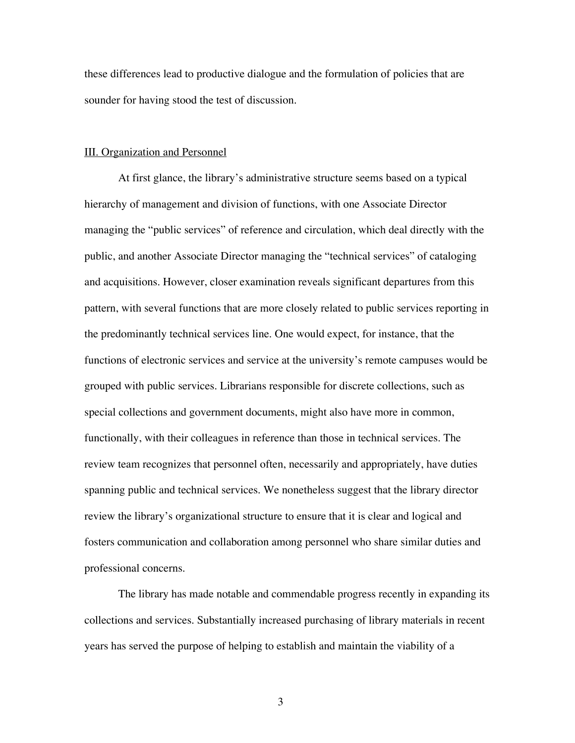these differences lead to productive dialogue and the formulation of policies that are sounder for having stood the test of discussion.

#### III. Organization and Personnel

At first glance, the library's administrative structure seems based on a typical hierarchy of management and division of functions, with one Associate Director managing the "public services" of reference and circulation, which deal directly with the public, and another Associate Director managing the "technical services" of cataloging and acquisitions. However, closer examination reveals significant departures from this pattern, with several functions that are more closely related to public services reporting in the predominantly technical services line. One would expect, for instance, that the functions of electronic services and service at the university's remote campuses would be grouped with public services. Librarians responsible for discrete collections, such as special collections and government documents, might also have more in common, functionally, with their colleagues in reference than those in technical services. The review team recognizes that personnel often, necessarily and appropriately, have duties spanning public and technical services. We nonetheless suggest that the library director review the library's organizational structure to ensure that it is clear and logical and fosters communication and collaboration among personnel who share similar duties and professional concerns.

The library has made notable and commendable progress recently in expanding its collections and services. Substantially increased purchasing of library materials in recent years has served the purpose of helping to establish and maintain the viability of a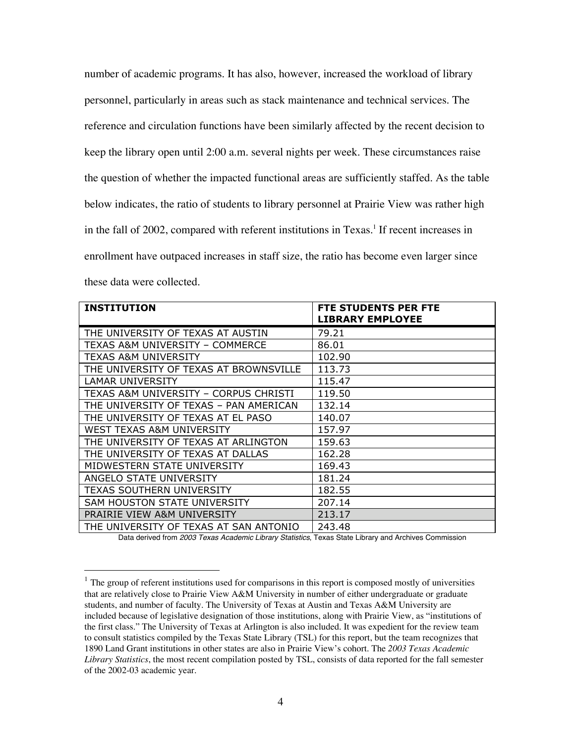number of academic programs. It has also, however, increased the workload of library personnel, particularly in areas such as stack maintenance and technical services. The reference and circulation functions have been similarly affected by the recent decision to keep the library open until 2:00 a.m. several nights per week. These circumstances raise the question of whether the impacted functional areas are sufficiently staffed. As the table below indicates, the ratio of students to library personnel at Prairie View was rather high in the fall of 2002, compared with referent institutions in Texas.<sup>1</sup> If recent increases in enrollment have outpaced increases in staff size, the ratio has become even larger since these data were collected.

| <b>INSTITUTION</b>                     | FTE STUDENTS PER FTE<br><b>LIBRARY EMPLOYEE</b> |
|----------------------------------------|-------------------------------------------------|
| THE UNIVERSITY OF TEXAS AT AUSTIN      | 79.21                                           |
| TEXAS A&M UNIVERSITY - COMMERCE        | 86.01                                           |
| <b>TEXAS A&amp;M UNIVERSITY</b>        | 102.90                                          |
| THE UNIVERSITY OF TEXAS AT BROWNSVILLE | 113.73                                          |
| <b>LAMAR UNIVERSITY</b>                | 115.47                                          |
| TEXAS A&M UNIVERSITY - CORPUS CHRISTI  | 119.50                                          |
| THE UNIVERSITY OF TEXAS - PAN AMERICAN | 132.14                                          |
| THE UNIVERSITY OF TEXAS AT EL PASO     | 140.07                                          |
| WEST TEXAS A&M UNIVERSITY              | 157.97                                          |
| THE UNIVERSITY OF TEXAS AT ARLINGTON   | 159.63                                          |
| THE UNIVERSITY OF TEXAS AT DALLAS      | 162.28                                          |
| MIDWESTERN STATE UNIVERSITY            | 169.43                                          |
| ANGELO STATE UNIVERSITY                | 181.24                                          |
| <b>TEXAS SOUTHERN UNIVERSITY</b>       | 182.55                                          |
| SAM HOUSTON STATE UNIVERSITY           | 207.14                                          |
| PRAIRIE VIEW A&M UNIVERSITY            | 213.17                                          |
| THE UNIVERSITY OF TEXAS AT SAN ANTONIO | 243.48                                          |

Data derived from 2003 Texas Academic Library Statistics, Texas State Library and Archives Commission

 $1$  The group of referent institutions used for comparisons in this report is composed mostly of universities that are relatively close to Prairie View A&M University in number of either undergraduate or graduate students, and number of faculty. The University of Texas at Austin and Texas A&M University are included because of legislative designation of those institutions, along with Prairie View, as "institutions of the first class." The University of Texas at Arlington is also included. It was expedient for the review team to consult statistics compiled by the Texas State Library (TSL) for this report, but the team recognizes that 1890 Land Grant institutions in other states are also in Prairie View's cohort. The *2003 Texas Academic Library Statistics*, the most recent compilation posted by TSL, consists of data reported for the fall semester of the 2002-03 academic year.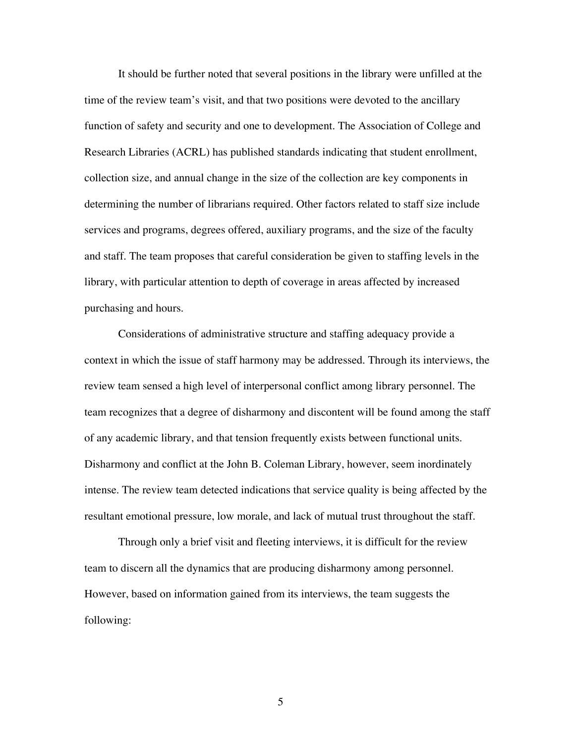It should be further noted that several positions in the library were unfilled at the time of the review team's visit, and that two positions were devoted to the ancillary function of safety and security and one to development. The Association of College and Research Libraries (ACRL) has published standards indicating that student enrollment, collection size, and annual change in the size of the collection are key components in determining the number of librarians required. Other factors related to staff size include services and programs, degrees offered, auxiliary programs, and the size of the faculty and staff. The team proposes that careful consideration be given to staffing levels in the library, with particular attention to depth of coverage in areas affected by increased purchasing and hours.

Considerations of administrative structure and staffing adequacy provide a context in which the issue of staff harmony may be addressed. Through its interviews, the review team sensed a high level of interpersonal conflict among library personnel. The team recognizes that a degree of disharmony and discontent will be found among the staff of any academic library, and that tension frequently exists between functional units. Disharmony and conflict at the John B. Coleman Library, however, seem inordinately intense. The review team detected indications that service quality is being affected by the resultant emotional pressure, low morale, and lack of mutual trust throughout the staff.

Through only a brief visit and fleeting interviews, it is difficult for the review team to discern all the dynamics that are producing disharmony among personnel. However, based on information gained from its interviews, the team suggests the following: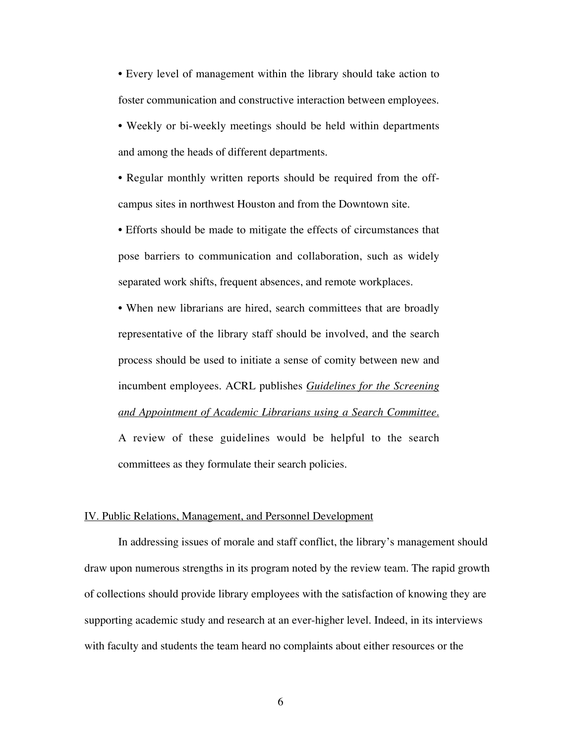• Every level of management within the library should take action to foster communication and constructive interaction between employees.

• Weekly or bi-weekly meetings should be held within departments and among the heads of different departments.

• Regular monthly written reports should be required from the offcampus sites in northwest Houston and from the Downtown site.

• Efforts should be made to mitigate the effects of circumstances that pose barriers to communication and collaboration, such as widely separated work shifts, frequent absences, and remote workplaces.

• When new librarians are hired, search committees that are broadly representative of the library staff should be involved, and the search process should be used to initiate a sense of comity between new and incumbent employees. ACRL publishes *Guidelines for the Screening and Appointment of Academic Librarians using a Search Committee.* A review of these guidelines would be helpful to the search committees as they formulate their search policies.

#### IV. Public Relations, Management, and Personnel Development

In addressing issues of morale and staff conflict, the library's management should draw upon numerous strengths in its program noted by the review team. The rapid growth of collections should provide library employees with the satisfaction of knowing they are supporting academic study and research at an ever-higher level. Indeed, in its interviews with faculty and students the team heard no complaints about either resources or the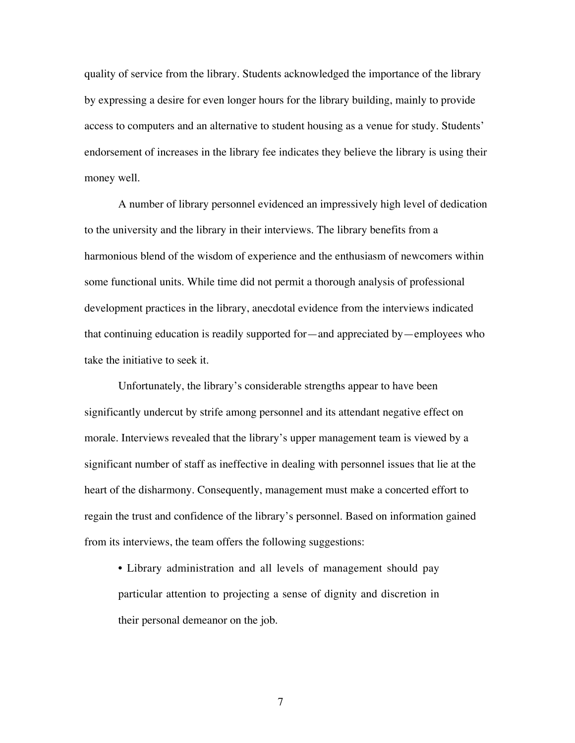quality of service from the library. Students acknowledged the importance of the library by expressing a desire for even longer hours for the library building, mainly to provide access to computers and an alternative to student housing as a venue for study. Students' endorsement of increases in the library fee indicates they believe the library is using their money well.

A number of library personnel evidenced an impressively high level of dedication to the university and the library in their interviews. The library benefits from a harmonious blend of the wisdom of experience and the enthusiasm of newcomers within some functional units. While time did not permit a thorough analysis of professional development practices in the library, anecdotal evidence from the interviews indicated that continuing education is readily supported for—and appreciated by—employees who take the initiative to seek it.

Unfortunately, the library's considerable strengths appear to have been significantly undercut by strife among personnel and its attendant negative effect on morale. Interviews revealed that the library's upper management team is viewed by a significant number of staff as ineffective in dealing with personnel issues that lie at the heart of the disharmony. Consequently, management must make a concerted effort to regain the trust and confidence of the library's personnel. Based on information gained from its interviews, the team offers the following suggestions:

• Library administration and all levels of management should pay particular attention to projecting a sense of dignity and discretion in their personal demeanor on the job.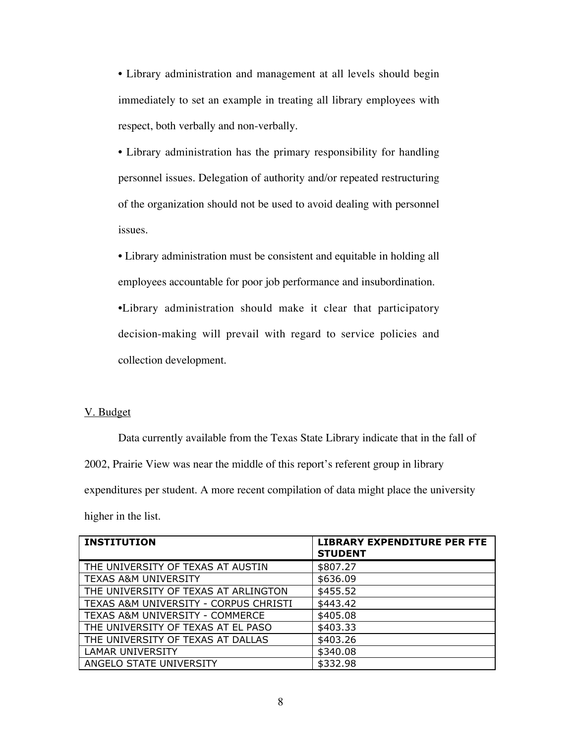• Library administration and management at all levels should begin immediately to set an example in treating all library employees with respect, both verbally and non-verbally.

• Library administration has the primary responsibility for handling personnel issues. Delegation of authority and/or repeated restructuring of the organization should not be used to avoid dealing with personnel issues.

• Library administration must be consistent and equitable in holding all employees accountable for poor job performance and insubordination.

•Library administration should make it clear that participatory decision-making will prevail with regard to service policies and collection development.

### V. Budget

Data currently available from the Texas State Library indicate that in the fall of 2002, Prairie View was near the middle of this report's referent group in library expenditures per student. A more recent compilation of data might place the university higher in the list.

| <b>INSTITUTION</b>                    | <b>LIBRARY EXPENDITURE PER FTE</b><br><b>STUDENT</b> |
|---------------------------------------|------------------------------------------------------|
| THE UNIVERSITY OF TEXAS AT AUSTIN     | \$807.27                                             |
| <b>TEXAS A&amp;M UNIVERSITY</b>       | \$636.09                                             |
| THE UNIVERSITY OF TEXAS AT ARLINGTON  | \$455.52                                             |
| TEXAS A&M UNIVERSITY - CORPUS CHRISTI | \$443.42                                             |
| TEXAS A&M UNIVERSITY - COMMERCE       | \$405.08                                             |
| THE UNIVERSITY OF TEXAS AT EL PASO    | \$403.33                                             |
| THE UNIVERSITY OF TEXAS AT DALLAS     | \$403.26                                             |
| <b>LAMAR UNIVERSITY</b>               | \$340.08                                             |
| ANGELO STATE UNIVERSITY               | \$332.98                                             |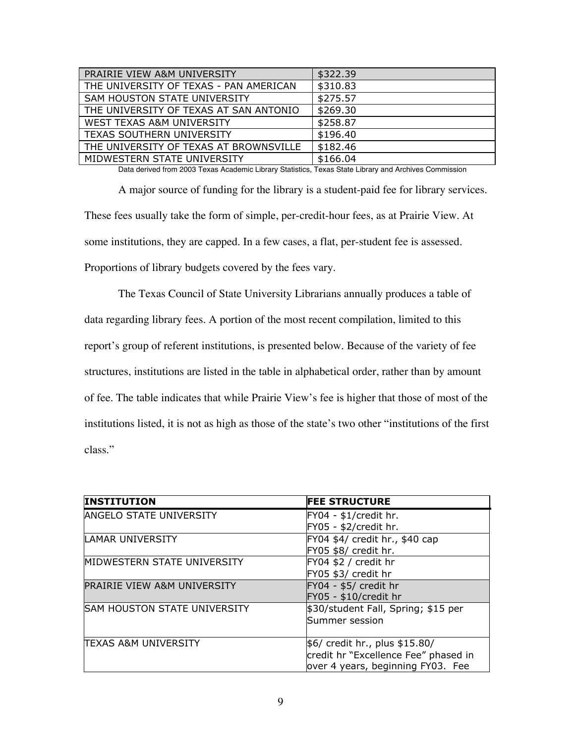| PRAIRIE VIEW A&M UNIVERSITY            | \$322.39 |
|----------------------------------------|----------|
| THE UNIVERSITY OF TEXAS - PAN AMERICAN | \$310.83 |
| SAM HOUSTON STATE UNIVERSITY           | \$275.57 |
| THE UNIVERSITY OF TEXAS AT SAN ANTONIO | \$269.30 |
| WEST TEXAS A&M UNIVERSITY              | \$258.87 |
| <b>TEXAS SOUTHERN UNIVERSITY</b>       | \$196.40 |
| THE UNIVERSITY OF TEXAS AT BROWNSVILLE | \$182.46 |
| MIDWESTERN STATE UNIVERSITY            | \$166.04 |

Data derived from 2003 Texas Academic Library Statistics, Texas State Library and Archives Commission

A major source of funding for the library is a student-paid fee for library services. These fees usually take the form of simple, per-credit-hour fees, as at Prairie View. At some institutions, they are capped. In a few cases, a flat, per-student fee is assessed. Proportions of library budgets covered by the fees vary.

The Texas Council of State University Librarians annually produces a table of data regarding library fees. A portion of the most recent compilation, limited to this report's group of referent institutions, is presented below. Because of the variety of fee structures, institutions are listed in the table in alphabetical order, rather than by amount of fee. The table indicates that while Prairie View's fee is higher that those of most of the institutions listed, it is not as high as those of the state's two other "institutions of the first class."

| <b>INSTITUTION</b>                     | <b>FEE STRUCTURE</b>                 |
|----------------------------------------|--------------------------------------|
| <b>ANGELO STATE UNIVERSITY</b>         | $FY04 - $1/credit$ hr.               |
|                                        | FY05 - \$2/credit hr.                |
| <b>LAMAR UNIVERSITY</b>                | FY04 \$4/ credit hr., \$40 cap       |
|                                        | FY05 \$8/ credit hr.                 |
| MIDWESTERN STATE UNIVERSITY            | FY04 \$2 / credit hr                 |
|                                        | FY05 \$3/ credit hr                  |
| <b>PRAIRIE VIEW A&amp;M UNIVERSITY</b> | $FY04 - $5/$ credit hr               |
|                                        | FY05 - \$10/credit hr                |
| <b>SAM HOUSTON STATE UNIVERSITY</b>    | \$30/student Fall, Spring; \$15 per  |
|                                        | Summer session                       |
|                                        |                                      |
| <b>TEXAS A&amp;M UNIVERSITY</b>        | \$6/ credit hr., plus \$15.80/       |
|                                        | credit hr "Excellence Fee" phased in |
|                                        | over 4 years, beginning FY03. Fee    |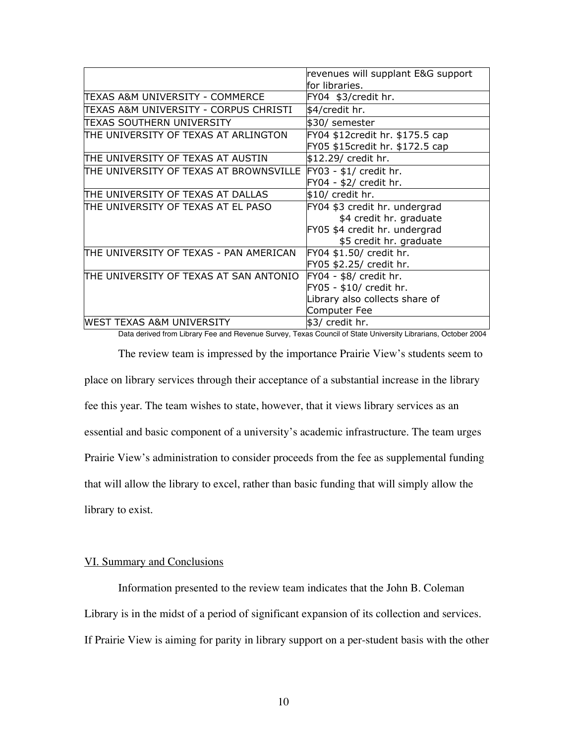|                                         | revenues will supplant E&G support |
|-----------------------------------------|------------------------------------|
|                                         | for libraries.                     |
| TEXAS A&M UNIVERSITY - COMMERCE         | FY04 \$3/credit hr.                |
| ITEXAS A&M UNIVERSITY - CORPUS CHRISTI  | \$4/credit hr.                     |
| ITEXAS SOUTHERN UNIVERSITY              | \$30/ semester                     |
| THE UNIVERSITY OF TEXAS AT ARLINGTON    | FY04 \$12credit hr. \$175.5 cap    |
|                                         | FY05 \$15credit hr. \$172.5 cap    |
| ITHE UNIVERSITY OF TEXAS AT AUSTIN      | \$12.29/ credit hr.                |
| ITHE UNIVERSITY OF TEXAS AT BROWNSVILLE | $FY03 - $1/$ credit hr.            |
|                                         | $FY04 - $2/$ credit hr.            |
| ITHE UNIVERSITY OF TEXAS AT DALLAS      | $$10/$ credit hr.                  |
| ITHE UNIVERSITY OF TEXAS AT EL PASO     | FY04 \$3 credit hr. undergrad      |
|                                         | \$4 credit hr. graduate            |
|                                         | FY05 \$4 credit hr. undergrad      |
|                                         | \$5 credit hr. graduate            |
| ITHE UNIVERSITY OF TEXAS - PAN AMERICAN | FY04 \$1.50/ credit hr.            |
|                                         | FY05 \$2.25/ credit hr.            |
| ITHE UNIVERSITY OF TEXAS AT SAN ANTONIO | $FY04 - $8/$ credit hr.            |
|                                         | FY05 - \$10/ credit hr.            |
|                                         | Library also collects share of     |
|                                         | Computer Fee                       |
| <b>WEST TEXAS A&amp;M UNIVERSITY</b>    | $$3/$ credit hr.                   |

Data derived from Library Fee and Revenue Survey, Texas Council of State University Librarians, October 2004 The review team is impressed by the importance Prairie View's students seem to place on library services through their acceptance of a substantial increase in the library fee this year. The team wishes to state, however, that it views library services as an essential and basic component of a university's academic infrastructure. The team urges Prairie View's administration to consider proceeds from the fee as supplemental funding that will allow the library to excel, rather than basic funding that will simply allow the library to exist.

#### VI. Summary and Conclusions

Information presented to the review team indicates that the John B. Coleman Library is in the midst of a period of significant expansion of its collection and services. If Prairie View is aiming for parity in library support on a per-student basis with the other